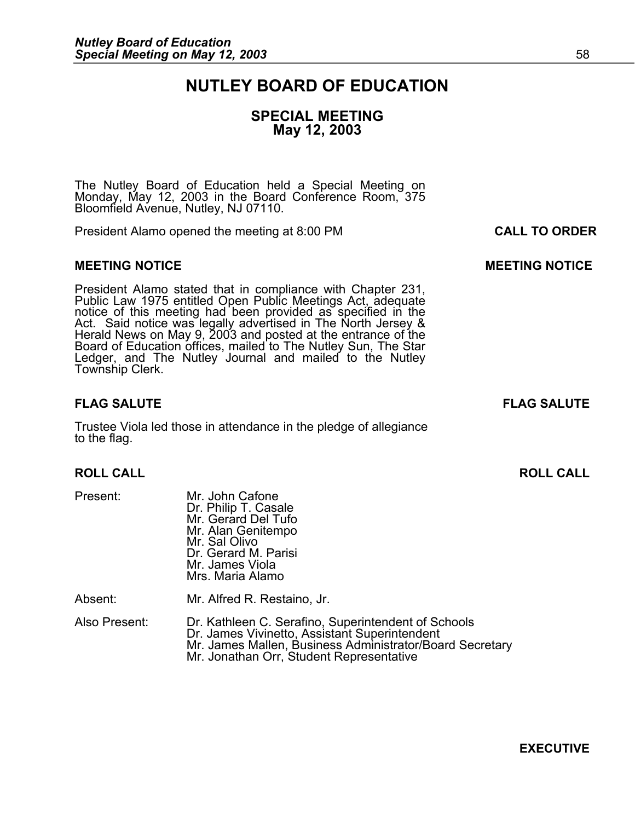# **NUTLEY BOARD OF EDUCATION**

## **SPECIAL MEETING May 12, 2003**

The Nutley Board of Education held a Special Meeting on Monday, May 12, 2003 in the Board Conference Room, 375 Bloomfield Avenue, Nutley, NJ 07110.

President Alamo opened the meeting at 8:00 PM **CALL TO ORDER**

### **MEETING NOTICE CONSUMING A REAL PROPERTY CONSUMING MANUFACTION CONSUMING MANUFACTION CONSUMING MANUFACTION**

President Alamo stated that in compliance with Chapter 231,<br>Public Law 1975 entitled Open Public Meetings Act, adequate<br>notice of this meeting had been provided as specified in the<br>Act. Said notice was legally advertised i Board of Education offices, mailed to The Nutley Sun, The Star Ledger, and The Nutley Journal and mailed to the Nutley Township Clerk.

### **FLAG SALUTE FLAG SALUTE**

Trustee Viola led those in attendance in the pledge of allegiance to the flag.

Present: Mr. John Cafone<br>Dr. Philip T. Casale Mr. Gerard Del Tufo Mr. Alan Genitempo Mr. Sal Olivo Dr. Gerard M. Parisi Mr. James Viola Mrs. Maria Alamo

Absent: Mr. Alfred R. Restaino, Jr.

Also Present: Dr. Kathleen C. Serafino, Superintendent of Schools Dr. James Vivinetto, Assistant Superintendent<br>Mr. James Mallen, Business Administrator/Board Secretary Mr. Jonathan Orr, Student Representative

**ROLL CALL ROLL CALL** 

**EXECUTIVE**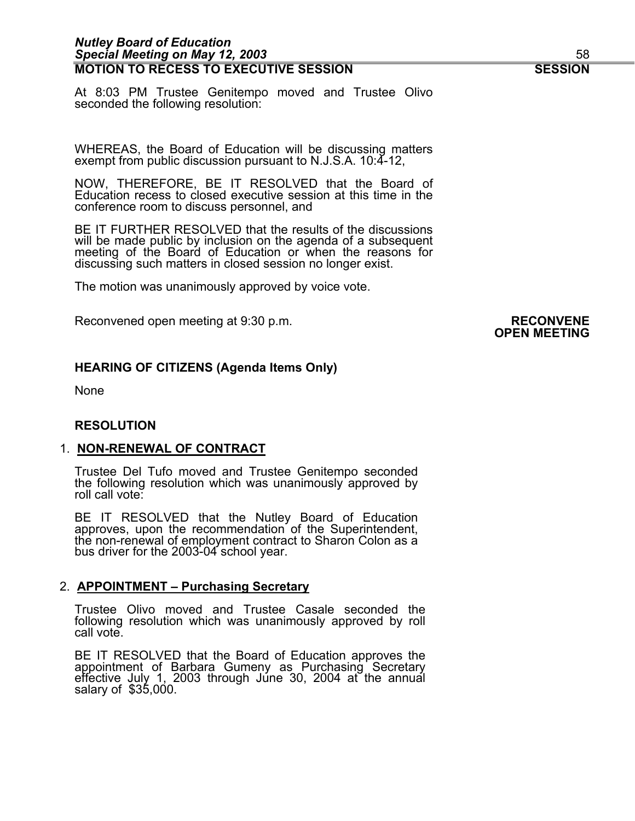### *Nutley Board of Education Special Meeting on May 12, 2003* 58 **MOTION TO RECESS TO EXECUTIVE SESSION SESSION**

At 8:03 PM Trustee Genitempo moved and Trustee Olivo seconded the following resolution:

WHEREAS, the Board of Education will be discussing matters exempt from public discussion pursuant to N.J.S.A. 10:4-12,

NOW, THEREFORE, BE IT RESOLVED that the Board of Education recess to closed executive session at this time in the conference room to discuss personnel, and

BE IT FURTHER RESOLVED that the results of the discussions will be made public by inclusion on the agenda of a subsequent meeting of the Board of Education or when the reasons for discussing such matters in closed session no longer exist.

The motion was unanimously approved by voice vote.

Reconvened open meeting at 9:30 p.m.<br>**OPEN MEETING** 

### **HEARING OF CITIZENS (Agenda Items Only)**

None

### **RESOLUTION**

### 1. **NON-RENEWAL OF CONTRACT**

Trustee Del Tufo moved and Trustee Genitempo seconded the following resolution which was unanimously approved by roll call vote:

BE IT RESOLVED that the Nutley Board of Education approves, upon the recommendation of the Superintendent, the non-renewal of employment contract to Sharon Colon as a bus driver for the 2003-04 school year.

### 2. **APPOINTMENT – Purchasing Secretary**

Trustee Olivo moved and Trustee Casale seconded the following resolution which was unanimously approved by roll call vote.

BE IT RESOLVED that the Board of Education approves the appointment of Barbara Gumeny as Purchasing Secretary effective July 1, 2003 through Júne 30, 2004 at the annual<br>salary of \$35,000.